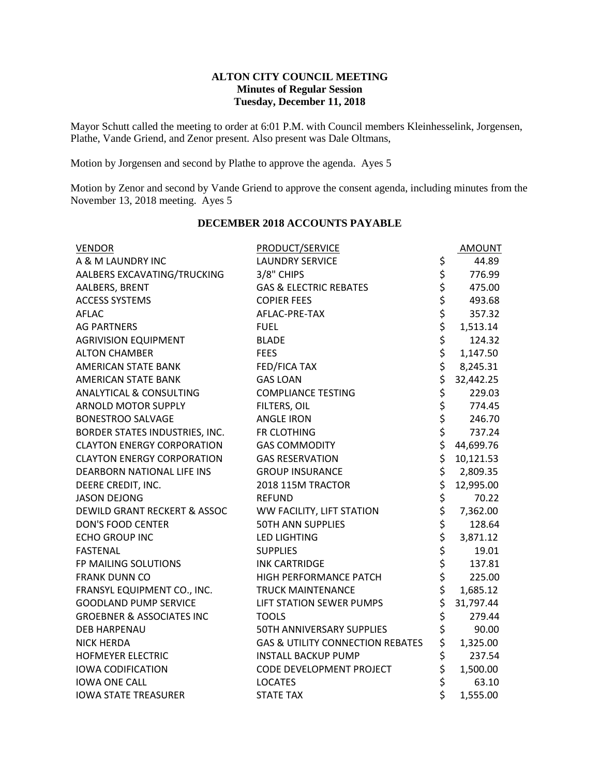### **ALTON CITY COUNCIL MEETING Minutes of Regular Session Tuesday, December 11, 2018**

Mayor Schutt called the meeting to order at 6:01 P.M. with Council members Kleinhesselink, Jorgensen, Plathe, Vande Griend, and Zenor present. Also present was Dale Oltmans,

Motion by Jorgensen and second by Plathe to approve the agenda. Ayes 5

Motion by Zenor and second by Vande Griend to approve the consent agenda, including minutes from the November 13, 2018 meeting. Ayes 5

| <b>VENDOR</b>                        | <b>PRODUCT/SERVICE</b>                      |                  | <b>AMOUNT</b> |
|--------------------------------------|---------------------------------------------|------------------|---------------|
| A & M LAUNDRY INC                    | <b>LAUNDRY SERVICE</b>                      |                  | 44.89         |
| AALBERS EXCAVATING/TRUCKING          | 3/8" CHIPS                                  |                  | 776.99        |
| AALBERS, BRENT                       | <b>GAS &amp; ELECTRIC REBATES</b>           |                  | 475.00        |
| <b>ACCESS SYSTEMS</b>                | <b>COPIER FEES</b>                          |                  | 493.68        |
| <b>AFLAC</b>                         | AFLAC-PRE-TAX                               |                  | 357.32        |
| <b>AG PARTNERS</b>                   | <b>FUEL</b>                                 |                  | 1,513.14      |
| <b>AGRIVISION EQUIPMENT</b>          | <b>BLADE</b>                                |                  | 124.32        |
| <b>ALTON CHAMBER</b>                 | <b>FEES</b>                                 | やややややややや         | 1,147.50      |
| <b>AMERICAN STATE BANK</b>           | <b>FED/FICA TAX</b>                         |                  | 8,245.31      |
| <b>AMERICAN STATE BANK</b>           | <b>GAS LOAN</b>                             |                  | 32,442.25     |
| <b>ANALYTICAL &amp; CONSULTING</b>   | <b>COMPLIANCE TESTING</b>                   |                  | 229.03        |
| <b>ARNOLD MOTOR SUPPLY</b>           | FILTERS, OIL                                |                  | 774.45        |
| <b>BONESTROO SALVAGE</b>             | <b>ANGLE IRON</b>                           | ぐぐらぐ             | 246.70        |
| BORDER STATES INDUSTRIES, INC.       | FR CLOTHING                                 |                  | 737.24        |
| <b>CLAYTON ENERGY CORPORATION</b>    | <b>GAS COMMODITY</b>                        |                  | 44,699.76     |
| <b>CLAYTON ENERGY CORPORATION</b>    | <b>GAS RESERVATION</b>                      |                  | 10,121.53     |
| DEARBORN NATIONAL LIFE INS           | <b>GROUP INSURANCE</b>                      | $\overline{\xi}$ | 2,809.35      |
| DEERE CREDIT, INC.                   | 2018 115M TRACTOR                           |                  | 12,995.00     |
| <b>JASON DEJONG</b>                  | <b>REFUND</b>                               |                  | 70.22         |
| DEWILD GRANT RECKERT & ASSOC         | WW FACILITY, LIFT STATION                   |                  | 7,362.00      |
| <b>DON'S FOOD CENTER</b>             | <b>50TH ANN SUPPLIES</b>                    |                  | 128.64        |
| <b>ECHO GROUP INC</b>                | <b>LED LIGHTING</b>                         |                  | 3,871.12      |
| <b>FASTENAL</b>                      | <b>SUPPLIES</b>                             |                  | 19.01         |
| FP MAILING SOLUTIONS                 | <b>INK CARTRIDGE</b>                        |                  | 137.81        |
| <b>FRANK DUNN CO</b>                 | HIGH PERFORMANCE PATCH                      | ややややややややや        | 225.00        |
| FRANSYL EQUIPMENT CO., INC.          | <b>TRUCK MAINTENANCE</b>                    |                  | 1,685.12      |
| <b>GOODLAND PUMP SERVICE</b>         | LIFT STATION SEWER PUMPS                    |                  | 31,797.44     |
| <b>GROEBNER &amp; ASSOCIATES INC</b> | <b>TOOLS</b>                                |                  | 279.44        |
| <b>DEB HARPENAU</b>                  | 50TH ANNIVERSARY SUPPLIES                   | \$               | 90.00         |
| <b>NICK HERDA</b>                    | <b>GAS &amp; UTILITY CONNECTION REBATES</b> | \$               | 1,325.00      |
| <b>HOFMEYER ELECTRIC</b>             | <b>INSTALL BACKUP PUMP</b>                  |                  | 237.54        |
| <b>IOWA CODIFICATION</b>             | CODE DEVELOPMENT PROJECT                    |                  | 1,500.00      |
| <b>IOWA ONE CALL</b>                 | <b>LOCATES</b>                              | \$\$\$\$         | 63.10         |
| <b>IOWA STATE TREASURER</b>          | <b>STATE TAX</b>                            |                  | 1,555.00      |

### **DECEMBER 2018 ACCOUNTS PAYABLE**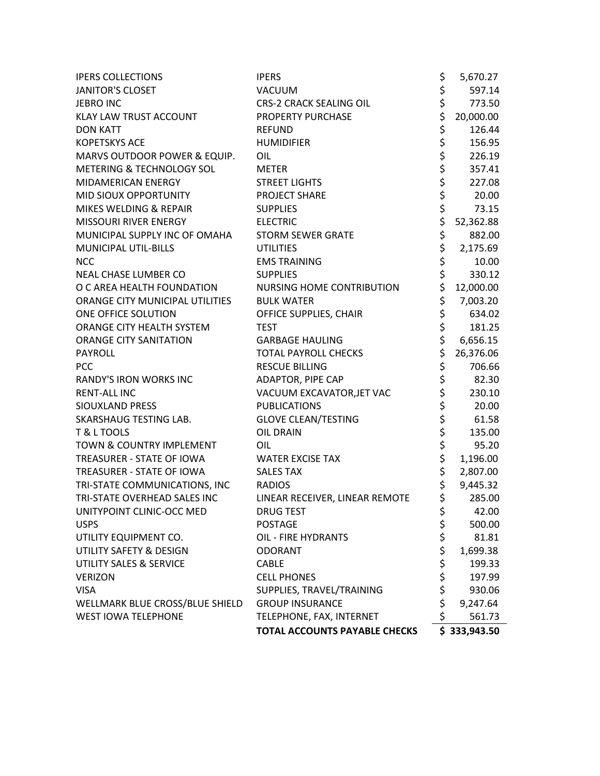| <b>IPERS COLLECTIONS</b>        | <b>IPERS</b>                         | \$                              | 5,670.27     |
|---------------------------------|--------------------------------------|---------------------------------|--------------|
| <b>JANITOR'S CLOSET</b>         | VACUUM                               | \$                              | 597.14       |
| <b>JEBRO INC</b>                | <b>CRS-2 CRACK SEALING OIL</b>       |                                 | 773.50       |
| KLAY LAW TRUST ACCOUNT          | PROPERTY PURCHASE                    |                                 | 20,000.00    |
| <b>DON KATT</b>                 | <b>REFUND</b>                        |                                 | 126.44       |
| <b>KOPETSKYS ACE</b>            | <b>HUMIDIFIER</b>                    |                                 | 156.95       |
| MARVS OUTDOOR POWER & EQUIP.    | OIL                                  |                                 | 226.19       |
| METERING & TECHNOLOGY SOL       | <b>METER</b>                         |                                 | 357.41       |
| MIDAMERICAN ENERGY              | <b>STREET LIGHTS</b>                 |                                 | 227.08       |
| MID SIOUX OPPORTUNITY           | <b>PROJECT SHARE</b>                 | やややややややややや                      | 20.00        |
| MIKES WELDING & REPAIR          | <b>SUPPLIES</b>                      |                                 | 73.15        |
| MISSOURI RIVER ENERGY           | <b>ELECTRIC</b>                      |                                 | 52,362.88    |
| MUNICIPAL SUPPLY INC OF OMAHA   | <b>STORM SEWER GRATE</b>             |                                 | 882.00       |
| MUNICIPAL UTIL-BILLS            | <b>UTILITIES</b>                     |                                 | 2,175.69     |
| <b>NCC</b>                      | <b>EMS TRAINING</b>                  | \$<br>\$                        | 10.00        |
| <b>NEAL CHASE LUMBER CO</b>     | <b>SUPPLIES</b>                      |                                 | 330.12       |
| O C AREA HEALTH FOUNDATION      | <b>NURSING HOME CONTRIBUTION</b>     | \$                              | 12,000.00    |
| ORANGE CITY MUNICIPAL UTILITIES | <b>BULK WATER</b>                    | \$                              | 7,003.20     |
| ONE OFFICE SOLUTION             | OFFICE SUPPLIES, CHAIR               | \$                              | 634.02       |
| ORANGE CITY HEALTH SYSTEM       | <b>TEST</b>                          | \$\$\$                          | 181.25       |
| <b>ORANGE CITY SANITATION</b>   | <b>GARBAGE HAULING</b>               |                                 | 6,656.15     |
| PAYROLL                         | <b>TOTAL PAYROLL CHECKS</b>          |                                 | 26,376.06    |
| <b>PCC</b>                      | <b>RESCUE BILLING</b>                | \$                              | 706.66       |
| <b>RANDY'S IRON WORKS INC</b>   | ADAPTOR, PIPE CAP                    |                                 | 82.30        |
| <b>RENT-ALL INC</b>             | VACUUM EXCAVATOR, JET VAC            |                                 | 230.10       |
| SIOUXLAND PRESS                 | <b>PUBLICATIONS</b>                  |                                 | 20.00        |
| SKARSHAUG TESTING LAB.          | <b>GLOVE CLEAN/TESTING</b>           |                                 | 61.58        |
| T & L TOOLS                     | <b>OIL DRAIN</b>                     |                                 | 135.00       |
| TOWN & COUNTRY IMPLEMENT        | OIL                                  | ややややや ややや                       | 95.20        |
| TREASURER - STATE OF IOWA       | <b>WATER EXCISE TAX</b>              |                                 | 1,196.00     |
| TREASURER - STATE OF IOWA       | <b>SALES TAX</b>                     |                                 | 2,807.00     |
| TRI-STATE COMMUNICATIONS, INC   | <b>RADIOS</b>                        | \$                              | 9,445.32     |
| TRI-STATE OVERHEAD SALES INC    | LINEAR RECEIVER, LINEAR REMOTE       | $\overline{\boldsymbol{\zeta}}$ | 285.00       |
| UNITYPOINT CLINIC-OCC MED       | <b>DRUG TEST</b>                     | \$                              | 42.00        |
| <b>USPS</b>                     | <b>POSTAGE</b>                       | \$                              | 500.00       |
| UTILITY EQUIPMENT CO.           | OIL - FIRE HYDRANTS                  | \$\$\$                          | 81.81        |
| UTILITY SAFETY & DESIGN         | <b>ODORANT</b>                       |                                 | 1,699.38     |
| UTILITY SALES & SERVICE         | <b>CABLE</b>                         |                                 | 199.33       |
| <b>VERIZON</b>                  | <b>CELL PHONES</b>                   | \$                              | 197.99       |
| <b>VISA</b>                     | SUPPLIES, TRAVEL/TRAINING            | \$                              | 930.06       |
| WELLMARK BLUE CROSS/BLUE SHIELD | <b>GROUP INSURANCE</b>               | \$                              | 9,247.64     |
| <b>WEST IOWA TELEPHONE</b>      | TELEPHONE, FAX, INTERNET             | \$                              | 561.73       |
|                                 | <b>TOTAL ACCOUNTS PAYABLE CHECKS</b> |                                 | \$333,943.50 |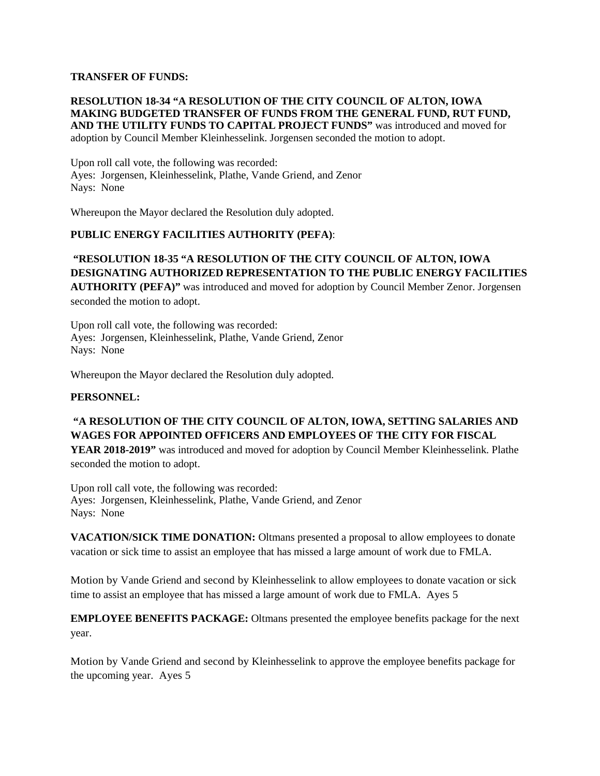### **TRANSFER OF FUNDS:**

### **RESOLUTION 18-34 "A RESOLUTION OF THE CITY COUNCIL OF ALTON, IOWA MAKING BUDGETED TRANSFER OF FUNDS FROM THE GENERAL FUND, RUT FUND, AND THE UTILITY FUNDS TO CAPITAL PROJECT FUNDS"** was introduced and moved for adoption by Council Member Kleinhesselink. Jorgensen seconded the motion to adopt.

Upon roll call vote, the following was recorded: Ayes: Jorgensen, Kleinhesselink, Plathe, Vande Griend, and Zenor Nays: None

Whereupon the Mayor declared the Resolution duly adopted.

### **PUBLIC ENERGY FACILITIES AUTHORITY (PEFA)**:

# **"RESOLUTION 18-35 "A RESOLUTION OF THE CITY COUNCIL OF ALTON, IOWA DESIGNATING AUTHORIZED REPRESENTATION TO THE PUBLIC ENERGY FACILITIES**

**AUTHORITY (PEFA)"** was introduced and moved for adoption by Council Member Zenor. Jorgensen seconded the motion to adopt.

Upon roll call vote, the following was recorded: Ayes: Jorgensen, Kleinhesselink, Plathe, Vande Griend, Zenor Nays: None

Whereupon the Mayor declared the Resolution duly adopted.

#### **PERSONNEL:**

## **"A RESOLUTION OF THE CITY COUNCIL OF ALTON, IOWA, SETTING SALARIES AND WAGES FOR APPOINTED OFFICERS AND EMPLOYEES OF THE CITY FOR FISCAL**

**YEAR 2018-2019"** was introduced and moved for adoption by Council Member Kleinhesselink. Plathe seconded the motion to adopt.

Upon roll call vote, the following was recorded: Ayes: Jorgensen, Kleinhesselink, Plathe, Vande Griend, and Zenor Nays: None

**VACATION/SICK TIME DONATION:** Oltmans presented a proposal to allow employees to donate vacation or sick time to assist an employee that has missed a large amount of work due to FMLA.

Motion by Vande Griend and second by Kleinhesselink to allow employees to donate vacation or sick time to assist an employee that has missed a large amount of work due to FMLA. Ayes 5

**EMPLOYEE BENEFITS PACKAGE:** Oltmans presented the employee benefits package for the next year.

Motion by Vande Griend and second by Kleinhesselink to approve the employee benefits package for the upcoming year. Ayes 5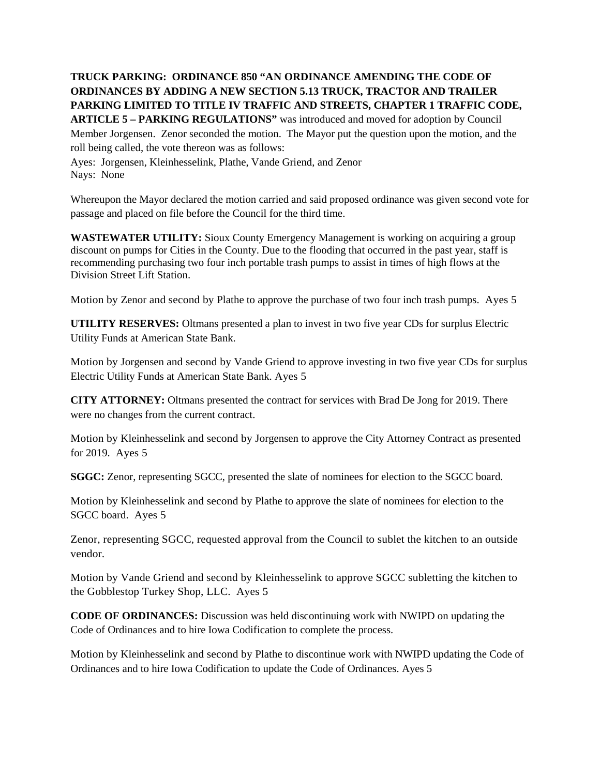**TRUCK PARKING: ORDINANCE 850 "AN ORDINANCE AMENDING THE CODE OF ORDINANCES BY ADDING A NEW SECTION 5.13 TRUCK, TRACTOR AND TRAILER PARKING LIMITED TO TITLE IV TRAFFIC AND STREETS, CHAPTER 1 TRAFFIC CODE, ARTICLE 5 – PARKING REGULATIONS"** was introduced and moved for adoption by Council Member Jorgensen. Zenor seconded the motion. The Mayor put the question upon the motion, and the roll being called, the vote thereon was as follows:

Ayes: Jorgensen, Kleinhesselink, Plathe, Vande Griend, and Zenor Nays: None

Whereupon the Mayor declared the motion carried and said proposed ordinance was given second vote for passage and placed on file before the Council for the third time.

**WASTEWATER UTILITY:** Sioux County Emergency Management is working on acquiring a group discount on pumps for Cities in the County. Due to the flooding that occurred in the past year, staff is recommending purchasing two four inch portable trash pumps to assist in times of high flows at the Division Street Lift Station.

Motion by Zenor and second by Plathe to approve the purchase of two four inch trash pumps. Ayes 5

**UTILITY RESERVES:** Oltmans presented a plan to invest in two five year CDs for surplus Electric Utility Funds at American State Bank.

Motion by Jorgensen and second by Vande Griend to approve investing in two five year CDs for surplus Electric Utility Funds at American State Bank. Ayes 5

**CITY ATTORNEY:** Oltmans presented the contract for services with Brad De Jong for 2019. There were no changes from the current contract.

Motion by Kleinhesselink and second by Jorgensen to approve the City Attorney Contract as presented for 2019. Ayes 5

**SGGC:** Zenor, representing SGCC, presented the slate of nominees for election to the SGCC board.

Motion by Kleinhesselink and second by Plathe to approve the slate of nominees for election to the SGCC board. Ayes 5

Zenor, representing SGCC, requested approval from the Council to sublet the kitchen to an outside vendor.

Motion by Vande Griend and second by Kleinhesselink to approve SGCC subletting the kitchen to the Gobblestop Turkey Shop, LLC. Ayes 5

**CODE OF ORDINANCES:** Discussion was held discontinuing work with NWIPD on updating the Code of Ordinances and to hire Iowa Codification to complete the process.

Motion by Kleinhesselink and second by Plathe to discontinue work with NWIPD updating the Code of Ordinances and to hire Iowa Codification to update the Code of Ordinances. Ayes 5